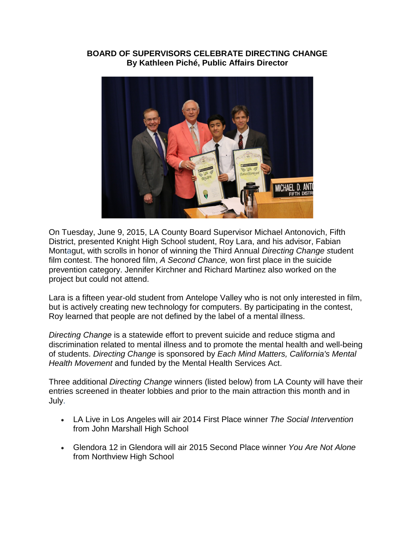## **BOARD OF SUPERVISORS CELEBRATE DIRECTING CHANGE By Kathleen Piché, Public Affairs Director**



On Tuesday, June 9, 2015, LA County Board Supervisor Michael Antonovich, Fifth District, presented Knight High School student, Roy Lara, and his advisor, Fabian Montagut, with scrolls in honor of winning the Third Annual *Directing Change s*tudent film contest. The honored film, *A Second Chance,* won first place in the suicide prevention category. Jennifer Kirchner and Richard Martinez also worked on the project but could not attend.

Lara is a fifteen year-old student from Antelope Valley who is not only interested in film, but is actively creating new technology for computers. By participating in the contest, Roy learned that people are not defined by the label of a mental illness.

*Directing Change* is a statewide effort to prevent suicide and reduce stigma and discrimination related to mental illness and to promote the mental health and well-being of students. *Directing Change* is sponsored by *Each Mind Matters, California's Mental Health Movement* and funded by the Mental Health Services Act.

Three additional *Directing Change* winners (listed below) from LA County will have their entries screened in theater lobbies and prior to the main attraction this month and in July.

- LA Live in Los Angeles will air 2014 First Place winner *The Social Intervention* from John Marshall High School
- Glendora 12 in Glendora will air 2015 Second Place winner *You Are Not Alone* from Northview High School